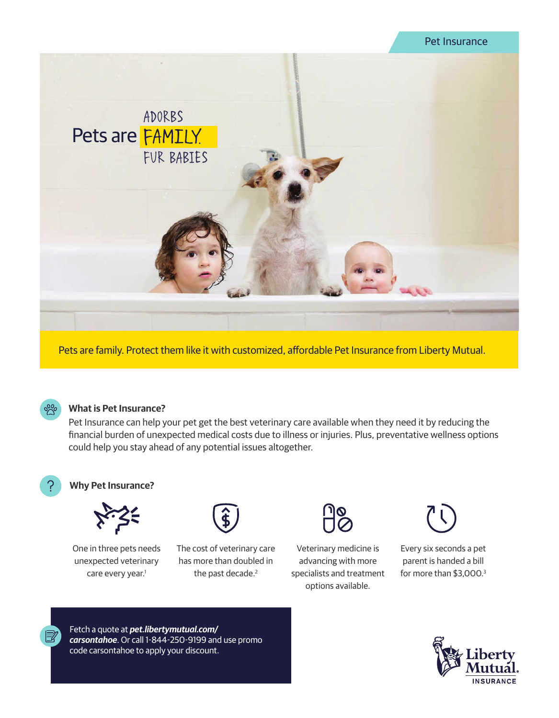# Pet Insurance



Pets are family. Protect them like it with customized, affordable Pet Insurance from Liberty Mutual.



#### **What is Pet Insurance?**

Pet Insurance can help your pet get the best veterinary care available when they need it by reducing the financial burden of unexpected medical costs due to illness or injuries. Plus, preventative wellness options could help you stay ahead of any potential issues altogether.



### **Why Pet Insurance?**



One in three pets needs unexpected veterinary care every year.<sup>1</sup>



The cost of veterinary care has more than doubled in the past decade.<sup>2</sup>



Veterinary medicine is advancing with more specialists and treatment options available.



Every six seconds a pet parent is handed a bill for more than \$3,000.3





Fetch a quote at *pet.libertymutual.com/ carsontahoe*. Or call 1-844-250-9199 and use promo code carsontahoe to apply your discount.